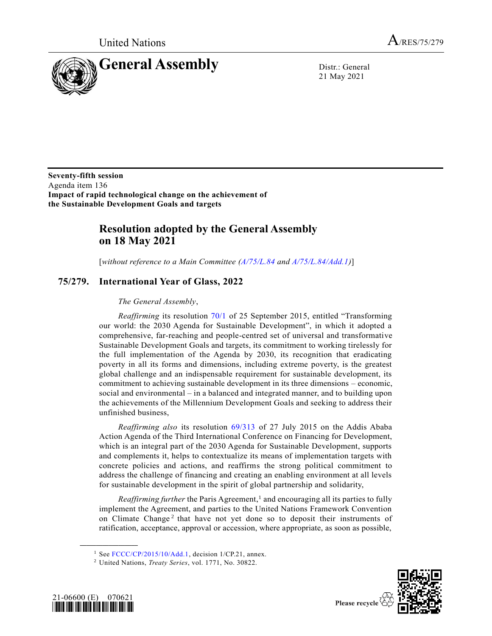United Nations  $A_{/RES/75/279}$ 



21 May 2021

**Seventy-fifth session** Agenda item 136 **Impact of rapid technological change on the achievement of the Sustainable Development Goals and targets**

## **Resolution adopted by the General Assembly on 18 May 2021**

[*without reference to a Main Committee [\(A/75/L.84](https://undocs.org/en/A/75/L.84) and [A/75/L.84/Add.1\)](https://undocs.org/en/A/75/L.84/Add.1)*]

## **75/279. International Year of Glass, 2022**

## *The General Assembly*,

*Reaffirming* its resolution [70/1](https://undocs.org/en/A/RES/70/1) of 25 September 2015, entitled "Transforming our world: the 2030 Agenda for Sustainable Development", in which it adopted a comprehensive, far-reaching and people-centred set of universal and transformative Sustainable Development Goals and targets, its commitment to working tirelessly for the full implementation of the Agenda by 2030, its recognition that eradicating poverty in all its forms and dimensions, including extreme poverty, is the greatest global challenge and an indispensable requirement for sustainable development, its commitment to achieving sustainable development in its three dimensions – economic, social and environmental – in a balanced and integrated manner, and to building upon the achievements of the Millennium Development Goals and seeking to address their unfinished business,

*Reaffirming also* its resolution [69/313](https://undocs.org/en/A/RES/69/313) of 27 July 2015 on the Addis Ababa Action Agenda of the Third International Conference on Financing for Development, which is an integral part of the 2030 Agenda for Sustainable Development, supports and complements it, helps to contextualize its means of implementation targets with concrete policies and actions, and reaffirms the strong political commitment to address the challenge of financing and creating an enabling environment at all levels for sustainable development in the spirit of global partnership and solidarity,

Reaffirming further the Paris Agreement,<sup>1</sup> and encouraging all its parties to fully implement the Agreement, and parties to the United Nations Framework Convention on Climate Change<sup>2</sup> that have not yet done so to deposit their instruments of ratification, acceptance, approval or accession, where appropriate, as soon as possible,

<sup>2</sup> United Nations, *Treaty Series*, vol. 1771, No. 30822.



**\_\_\_\_\_\_\_\_\_\_\_\_\_\_\_\_\_\_**



<sup>&</sup>lt;sup>1</sup> See [FCCC/CP/2015/10/Add.1,](https://undocs.org/en/FCCC/CP/2015/10/Add.1) decision 1/CP.21, annex.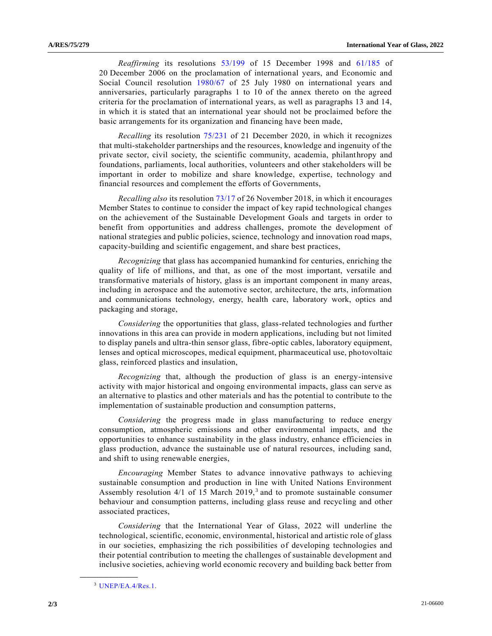*Reaffirming* its resolutions [53/199](https://undocs.org/en/A/RES/53/199) of 15 December 1998 and [61/185](https://undocs.org/en/A/RES/61/185) of 20 December 2006 on the proclamation of international years, and Economic and Social Council resolution [1980/67](https://undocs.org/en/e/res/1980/67) of 25 July 1980 on international years and anniversaries, particularly paragraphs 1 to 10 of the annex thereto on the agreed criteria for the proclamation of international years, as well as paragraphs 13 and 14, in which it is stated that an international year should not be proclaimed before the basic arrangements for its organization and financing have been made,

*Recalling* its resolution [75/231](https://undocs.org/en/A/RES/75/231) of 21 December 2020, in which it recognizes that multi-stakeholder partnerships and the resources, knowledge and ingenuity of the private sector, civil society, the scientific community, academia, philanthropy and foundations, parliaments, local authorities, volunteers and other stakeholders will be important in order to mobilize and share knowledge, expertise, technology and financial resources and complement the efforts of Governments,

*Recalling also* its resolutio[n 73/17](https://undocs.org/en/A/RES/73/17) of 26 November 2018, in which it encourages Member States to continue to consider the impact of key rapid technological changes on the achievement of the Sustainable Development Goals and targets in order to benefit from opportunities and address challenges, promote the development of national strategies and public policies, science, technology and innovation road maps, capacity-building and scientific engagement, and share best practices,

*Recognizing* that glass has accompanied humankind for centuries, enriching the quality of life of millions, and that, as one of the most important, versatile and transformative materials of history, glass is an important component in many areas, including in aerospace and the automotive sector, architecture, the arts, information and communications technology, energy, health care, laboratory work, optics and packaging and storage,

*Considering* the opportunities that glass, glass-related technologies and further innovations in this area can provide in modern applications, including but not limited to display panels and ultra-thin sensor glass, fibre-optic cables, laboratory equipment, lenses and optical microscopes, medical equipment, pharmaceutical use, photovoltaic glass, reinforced plastics and insulation,

*Recognizing* that, although the production of glass is an energy-intensive activity with major historical and ongoing environmental impacts, glass can serve as an alternative to plastics and other materials and has the potential to contribute to the implementation of sustainable production and consumption patterns,

*Considering* the progress made in glass manufacturing to reduce energy consumption, atmospheric emissions and other environmental impacts, and the opportunities to enhance sustainability in the glass industry, enhance efficiencies in glass production, advance the sustainable use of natural resources, including sand, and shift to using renewable energies,

*Encouraging* Member States to advance innovative pathways to achieving sustainable consumption and production in line with United Nations Environment Assembly resolution  $4/1$  of 15 March  $2019$ ,<sup>3</sup> and to promote sustainable consumer behaviour and consumption patterns, including glass reuse and recycling and other associated practices,

*Considering* that the International Year of Glass, 2022 will underline the technological, scientific, economic, environmental, historical and artistic role of glass in our societies, emphasizing the rich possibilities of developing technologies and their potential contribution to meeting the challenges of sustainable development and inclusive societies, achieving world economic recovery and building back better from

**\_\_\_\_\_\_\_\_\_\_\_\_\_\_\_\_\_\_**

<sup>3</sup> [UNEP/EA.4/Res.1.](https://undocs.org/en/UNEP/EA.4/Res.1)